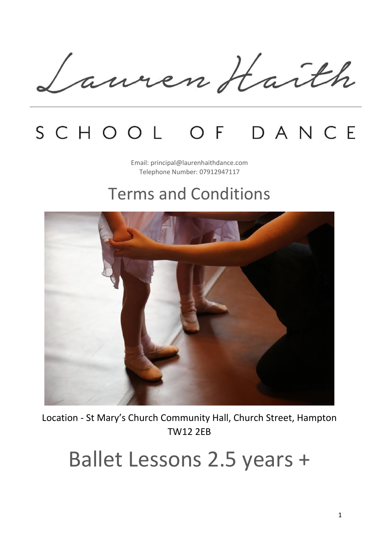Lauren Haith

## SCHOOL OF DANCE

Email: principal@laurenhaithdance.com Telephone Number: 07912947117

### Terms and Conditions



Location - St Mary's Church Community Hall, Church Street, Hampton TW12 2EB

# Ballet Lessons 2.5 years +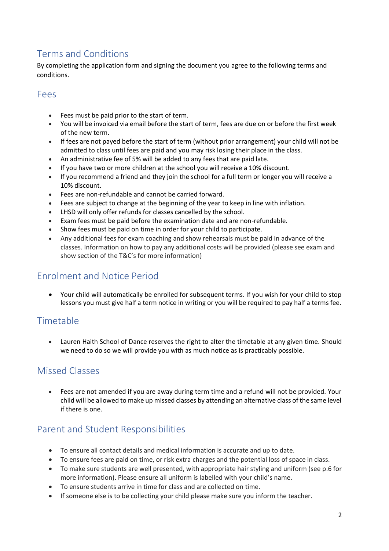#### Terms and Conditions

By completing the application form and signing the document you agree to the following terms and conditions.

#### Fees

- Fees must be paid prior to the start of term.
- You will be invoiced via email before the start of term, fees are due on or before the first week of the new term.
- If fees are not payed before the start of term (without prior arrangement) your child will not be admitted to class until fees are paid and you may risk losing their place in the class.
- An administrative fee of 5% will be added to any fees that are paid late.
- If you have two or more children at the school you will receive a 10% discount.
- If you recommend a friend and they join the school for a full term or longer you will receive a 10% discount.
- Fees are non-refundable and cannot be carried forward.
- Fees are subject to change at the beginning of the year to keep in line with inflation.
- LHSD will only offer refunds for classes cancelled by the school.
- Exam fees must be paid before the examination date and are non-refundable.
- Show fees must be paid on time in order for your child to participate.
- Any additional fees for exam coaching and show rehearsals must be paid in advance of the classes. Information on how to pay any additional costs will be provided (please see exam and show section of the T&C's for more information)

#### Enrolment and Notice Period

• Your child will automatically be enrolled for subsequent terms. If you wish for your child to stop lessons you must give half a term notice in writing or you will be required to pay half a terms fee.

#### **Timetable**

• Lauren Haith School of Dance reserves the right to alter the timetable at any given time. Should we need to do so we will provide you with as much notice as is practicably possible.

#### Missed Classes

• Fees are not amended if you are away during term time and a refund will not be provided. Your child will be allowed to make up missed classes by attending an alternative class of the same level if there is one.

#### Parent and Student Responsibilities

- To ensure all contact details and medical information is accurate and up to date.
- To ensure fees are paid on time, or risk extra charges and the potential loss of space in class.
- To make sure students are well presented, with appropriate hair styling and uniform (see p.6 for more information). Please ensure all uniform is labelled with your child's name.
- To ensure students arrive in time for class and are collected on time.
- If someone else is to be collecting your child please make sure you inform the teacher.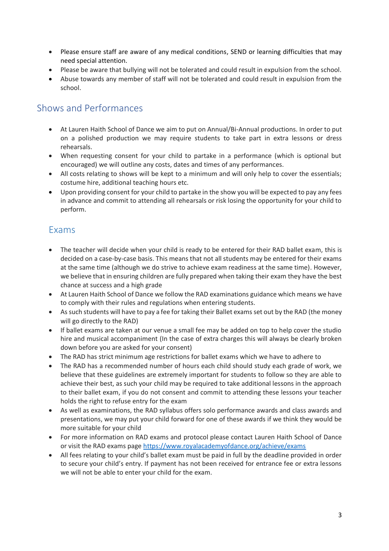- Please ensure staff are aware of any medical conditions, SEND or learning difficulties that may need special attention.
- Please be aware that bullying will not be tolerated and could result in expulsion from the school.
- Abuse towards any member of staff will not be tolerated and could result in expulsion from the school.

#### Shows and Performances

- At Lauren Haith School of Dance we aim to put on Annual/Bi-Annual productions. In order to put on a polished production we may require students to take part in extra lessons or dress rehearsals.
- When requesting consent for your child to partake in a performance (which is optional but encouraged) we will outline any costs, dates and times of any performances.
- All costs relating to shows will be kept to a minimum and will only help to cover the essentials; costume hire, additional teaching hours etc.
- Upon providing consent for your child to partake in the show you will be expected to pay any fees in advance and commit to attending all rehearsals or risk losing the opportunity for your child to perform.

#### Exams

- The teacher will decide when your child is ready to be entered for their RAD ballet exam, this is decided on a case-by-case basis. This means that not all students may be entered for their exams at the same time (although we do strive to achieve exam readiness at the same time). However, we believe that in ensuring children are fully prepared when taking their exam they have the best chance at success and a high grade
- At Lauren Haith School of Dance we follow the RAD examinations guidance which means we have to comply with their rules and regulations when entering students.
- As such students will have to pay a fee for taking their Ballet exams set out by the RAD (the money will go directly to the RAD)
- If ballet exams are taken at our venue a small fee may be added on top to help cover the studio hire and musical accompaniment (In the case of extra charges this will always be clearly broken down before you are asked for your consent)
- The RAD has strict minimum age restrictions for ballet exams which we have to adhere to
- The RAD has a recommended number of hours each child should study each grade of work, we believe that these guidelines are extremely important for students to follow so they are able to achieve their best, as such your child may be required to take additional lessons in the approach to their ballet exam, if you do not consent and commit to attending these lessons your teacher holds the right to refuse entry for the exam
- As well as examinations, the RAD syllabus offers solo performance awards and class awards and presentations, we may put your child forward for one of these awards if we think they would be more suitable for your child
- For more information on RAD exams and protocol please contact Lauren Haith School of Dance or visit the RAD exams page<https://www.royalacademyofdance.org/achieve/exams>
- All fees relating to your child's ballet exam must be paid in full by the deadline provided in order to secure your child's entry. If payment has not been received for entrance fee or extra lessons we will not be able to enter your child for the exam.